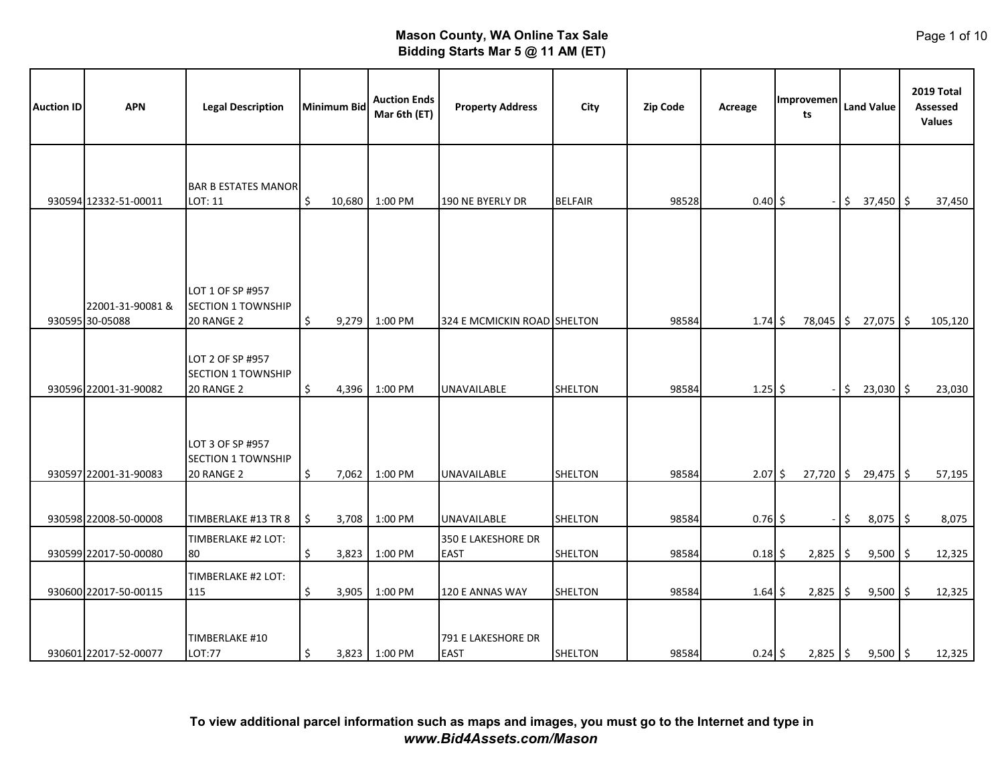| <b>Auction ID</b> | <b>APN</b>                          | <b>Legal Description</b>                                    |    | <b>Minimum Bid</b> | <b>Auction Ends</b><br>Mar 6th (ET) | <b>Property Address</b>           | City           | <b>Zip Code</b> | Acreage      | Improvemen<br>ts |      | <b>Land Value</b> | 2019 Total<br>Assessed<br><b>Values</b> |
|-------------------|-------------------------------------|-------------------------------------------------------------|----|--------------------|-------------------------------------|-----------------------------------|----------------|-----------------|--------------|------------------|------|-------------------|-----------------------------------------|
|                   | 930594 12332-51-00011               | <b>BAR B ESTATES MANOR</b><br>LOT: 11                       | \$ |                    | 10,680 1:00 PM                      | 190 NE BYERLY DR                  | <b>BELFAIR</b> | 98528           | $0.40 \,$ \$ |                  | \$   | $37,450$ \$       | 37,450                                  |
|                   |                                     |                                                             |    |                    |                                     |                                   |                |                 |              |                  |      |                   |                                         |
|                   | 22001-31-90081 &<br>930595 30-05088 | LOT 1 OF SP #957<br><b>SECTION 1 TOWNSHIP</b><br>20 RANGE 2 | \$ | 9,279              | 1:00 PM                             | 324 E MCMICKIN ROAD SHELTON       |                | 98584           | $1.74\;$ \$  | 78,045           | l \$ | $27,075$ \$       | 105,120                                 |
|                   | 930596 22001-31-90082               | LOT 2 OF SP #957<br>SECTION 1 TOWNSHIP<br>20 RANGE 2        | \$ | 4,396              | 1:00 PM                             | UNAVAILABLE                       | SHELTON        | 98584           | $1.25$ \$    |                  | \$   | $23,030$ \$       | 23,030                                  |
|                   | 930597 22001-31-90083               | LOT 3 OF SP #957<br>SECTION 1 TOWNSHIP<br>20 RANGE 2        | \$ | 7,062              | 1:00 PM                             | <b>UNAVAILABLE</b>                | <b>SHELTON</b> | 98584           | $2.07$ \$    | $27,720$ \$      |      | $29,475$ \$       | 57,195                                  |
|                   | 930598 22008-50-00008               | TIMBERLAKE #13 TR 8                                         | \$ | 3,708              | 1:00 PM                             | UNAVAILABLE                       | <b>SHELTON</b> | 98584           | $0.76$ \$    |                  | \$   | $8,075$ \$        | 8,075                                   |
|                   | 930599 22017-50-00080               | TIMBERLAKE #2 LOT:<br>80                                    | \$ | 3,823              | 1:00 PM                             | 350 E LAKESHORE DR<br><b>EAST</b> | SHELTON        | 98584           | 0.18         | \$<br>2,825      | \$   | $9,500$ \$        | 12,325                                  |
|                   | 930600 22017-50-00115               | TIMBERLAKE #2 LOT:<br>115                                   | \$ | 3,905              | 1:00 PM                             | 120 E ANNAS WAY                   | <b>SHELTON</b> | 98584           | $1.64$ \$    | 2,825            | -\$  | $9,500$ \$        | 12,325                                  |
|                   | 930601 22017-52-00077               | TIMBERLAKE #10<br>LOT:77                                    | \$ |                    | 3,823 1:00 PM                       | 791 E LAKESHORE DR<br><b>EAST</b> | SHELTON        | 98584           | $0.24$ \$    | $2,825$ \$       |      | $9,500$ \$        | 12,325                                  |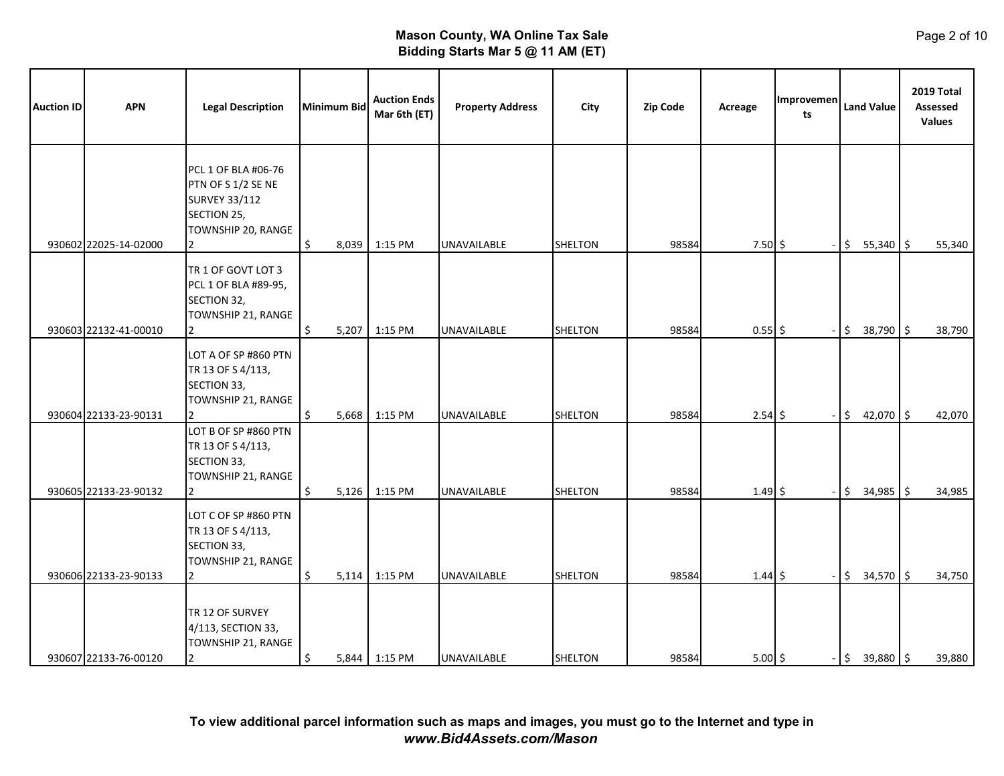| <b>Auction ID</b> | <b>APN</b>            | <b>Legal Description</b>                                                                                    | <b>Minimum Bid</b> |       | <b>Auction Ends</b><br>Mar 6th (ET) | <b>Property Address</b> | City           | Zip Code | Acreage      | Improvemen<br>ts |               | <b>Land Value</b> | 2019 Total<br>Assessed<br><b>Values</b> |
|-------------------|-----------------------|-------------------------------------------------------------------------------------------------------------|--------------------|-------|-------------------------------------|-------------------------|----------------|----------|--------------|------------------|---------------|-------------------|-----------------------------------------|
|                   | 930602 22025-14-02000 | PCL 1 OF BLA #06-76<br>PTN OF S 1/2 SE NE<br><b>SURVEY 33/112</b><br>SECTION 25,<br>TOWNSHIP 20, RANGE<br>2 | \$                 | 8,039 | 1:15 PM                             | UNAVAILABLE             | <b>SHELTON</b> | 98584    | $7.50\;$ \$  |                  | \$            | $55,340$ \$       | 55,340                                  |
|                   | 930603 22132-41-00010 | TR 1 OF GOVT LOT 3<br>PCL 1 OF BLA #89-95,<br>SECTION 32,<br>TOWNSHIP 21, RANGE<br>$\mathcal{P}$            | \$                 | 5,207 | 1:15 PM                             | UNAVAILABLE             | <b>SHELTON</b> | 98584    | $0.55$ \$    |                  | $\ddot{\phi}$ | 38,790 \$         | 38,790                                  |
|                   | 930604 22133-23-90131 | LOT A OF SP #860 PTN<br>TR 13 OF S 4/113,<br>SECTION 33,<br>TOWNSHIP 21, RANGE<br>$\overline{2}$            | Ŝ.                 | 5,668 | 1:15 PM                             | <b>UNAVAILABLE</b>      | <b>SHELTON</b> | 98584    | $2.54$ \$    |                  | \$            | 42,070 \$         | 42,070                                  |
|                   | 930605 22133-23-90132 | LOT B OF SP #860 PTN<br>TR 13 OF S 4/113,<br>SECTION 33,<br>TOWNSHIP 21, RANGE<br>2                         | \$                 | 5,126 | 1:15 PM                             | <b>UNAVAILABLE</b>      | <b>SHELTON</b> | 98584    | $1.49 \;$ \$ |                  | \$            | $34,985$ \$       | 34,985                                  |
|                   | 930606 22133-23-90133 | LOT C OF SP #860 PTN<br>TR 13 OF S 4/113,<br>SECTION 33,<br>TOWNSHIP 21, RANGE                              | \$                 | 5,114 | 1:15 PM                             | UNAVAILABLE             | SHELTON        | 98584    | $1.44 \;$ \$ |                  | \$            | 34,570 \$         | 34,750                                  |
|                   | 930607 22133-76-00120 | TR 12 OF SURVEY<br>4/113, SECTION 33,<br>TOWNSHIP 21, RANGE<br>$\overline{2}$                               | \$                 |       | 5,844 1:15 PM                       | <b>UNAVAILABLE</b>      | SHELTON        | 98584    | $5.00 \div$  |                  | $-1$ \$       | 39,880 \$         | 39,880                                  |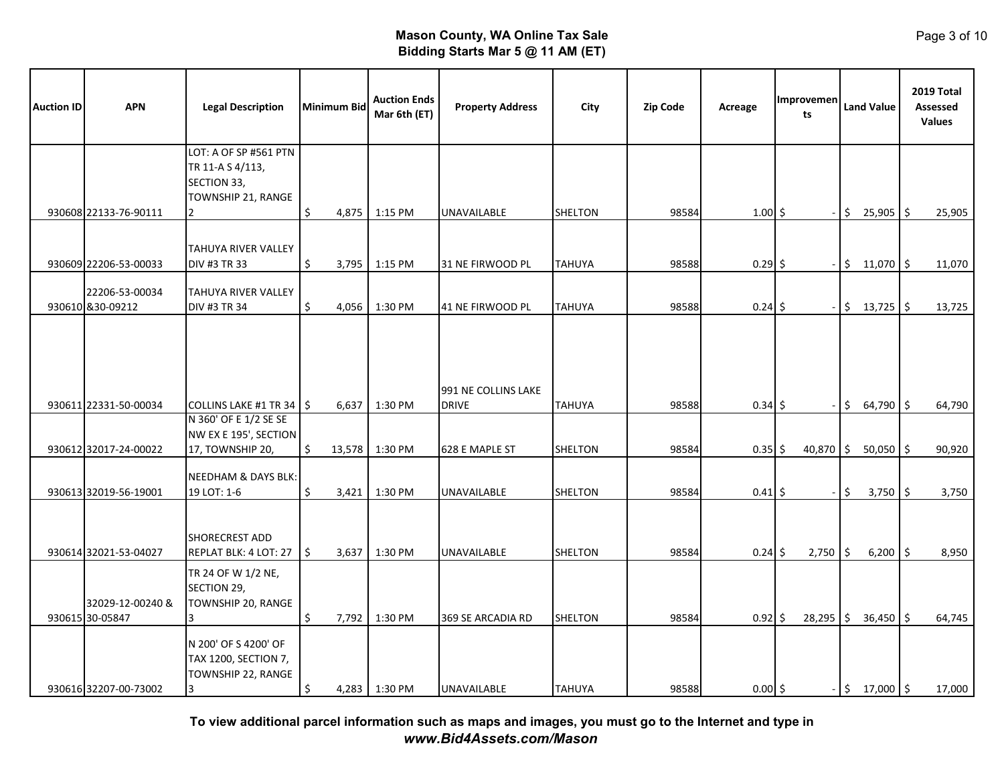| <b>Auction ID</b> | <b>APN</b>                                     | <b>Legal Description</b>                                                       | Minimum Bid                 | <b>Auction Ends</b><br>Mar 6th (ET) | <b>Property Address</b>             | City                             | <b>Zip Code</b> | Acreage                | Improvemen<br>ts | <b>Land Value</b>                | 2019 Total<br><b>Assessed</b><br><b>Values</b> |
|-------------------|------------------------------------------------|--------------------------------------------------------------------------------|-----------------------------|-------------------------------------|-------------------------------------|----------------------------------|-----------------|------------------------|------------------|----------------------------------|------------------------------------------------|
|                   |                                                | LOT: A OF SP #561 PTN<br>TR 11-A S 4/113,<br>SECTION 33,<br>TOWNSHIP 21, RANGE |                             |                                     |                                     |                                  |                 |                        |                  |                                  |                                                |
|                   | 930608 22133-76-90111                          |                                                                                | \$<br>4,875                 | 1:15 PM                             | UNAVAILABLE                         | <b>SHELTON</b>                   | 98584           | $1.00 \, \xi$          |                  | \$<br>$25,905$ \$                | 25,905                                         |
|                   | 930609 22206-53-00033                          | TAHUYA RIVER VALLEY<br>DIV #3 TR 33                                            | \$<br>3,795                 | 1:15 PM                             | 31 NE FIRWOOD PL                    | <b>TAHUYA</b>                    | 98588           | $0.29$ \$              |                  | $\ddot{\mathsf{S}}$<br>11,070 \$ | 11,070                                         |
|                   | 22206-53-00034<br>930610 &30-09212             | TAHUYA RIVER VALLEY<br><b>DIV #3 TR 34</b>                                     | Ŝ.<br>4,056                 | 1:30 PM                             | 41 NE FIRWOOD PL                    | <b>TAHUYA</b>                    | 98588           | $0.24$ \$              |                  | $$13,725$ \$                     | 13,725                                         |
|                   | 930611 22331-50-00034                          | COLLINS LAKE #1 TR 34   \$<br>N 360' OF E 1/2 SE SE                            | 6,637                       | 1:30 PM                             | 991 NE COLLINS LAKE<br><b>DRIVE</b> | TAHUYA                           | 98588           | $0.34$ \$              |                  | \$<br>$64,790$ \$                | 64,790                                         |
|                   |                                                | NW EX E 195', SECTION                                                          |                             |                                     |                                     |                                  |                 |                        |                  |                                  |                                                |
|                   | 930612 32017-24-00022<br>930613 32019-56-19001 | 17, TOWNSHIP 20,<br><b>NEEDHAM &amp; DAYS BLK:</b><br>19 LOT: 1-6              | Ś.<br>13,578<br>Ś.<br>3,421 | 1:30 PM<br>1:30 PM                  | 628 E MAPLE ST<br>UNAVAILABLE       | <b>SHELTON</b><br><b>SHELTON</b> | 98584<br>98584  | $0.35$ \$<br>$0.41$ \$ | $40,870$ \$      | $50,050$ \$<br>\$<br>$3,750$ \$  | 90,920<br>3,750                                |
|                   | 930614 32021-53-04027                          | <b>SHORECREST ADD</b><br>REPLAT BLK: 4 LOT: 27                                 | I\$<br>3,637                | 1:30 PM                             | UNAVAILABLE                         | <b>SHELTON</b>                   | 98584           | $0.24$ \$              | 2,750            | I\$<br>$6,200$ \$                | 8,950                                          |
|                   | 32029-12-00240 &<br>930615 30-05847            | TR 24 OF W 1/2 NE,<br>SECTION 29,<br>TOWNSHIP 20, RANGE<br>3                   | \$<br>7,792                 | 1:30 PM                             | 369 SE ARCADIA RD                   | <b>SHELTON</b>                   | 98584           | $0.92$ \$              | 28,295           | I\$<br>$36,450$ \$               | 64,745                                         |
|                   | 930616 32207-00-73002                          | N 200' OF S 4200' OF<br>TAX 1200, SECTION 7,<br>TOWNSHIP 22, RANGE<br>3        | \$                          | 4,283 1:30 PM                       | <b>UNAVAILABLE</b>                  | <b>TAHUYA</b>                    | 98588           | $0.00$ \$              |                  | $$17,000$ \$                     | 17,000                                         |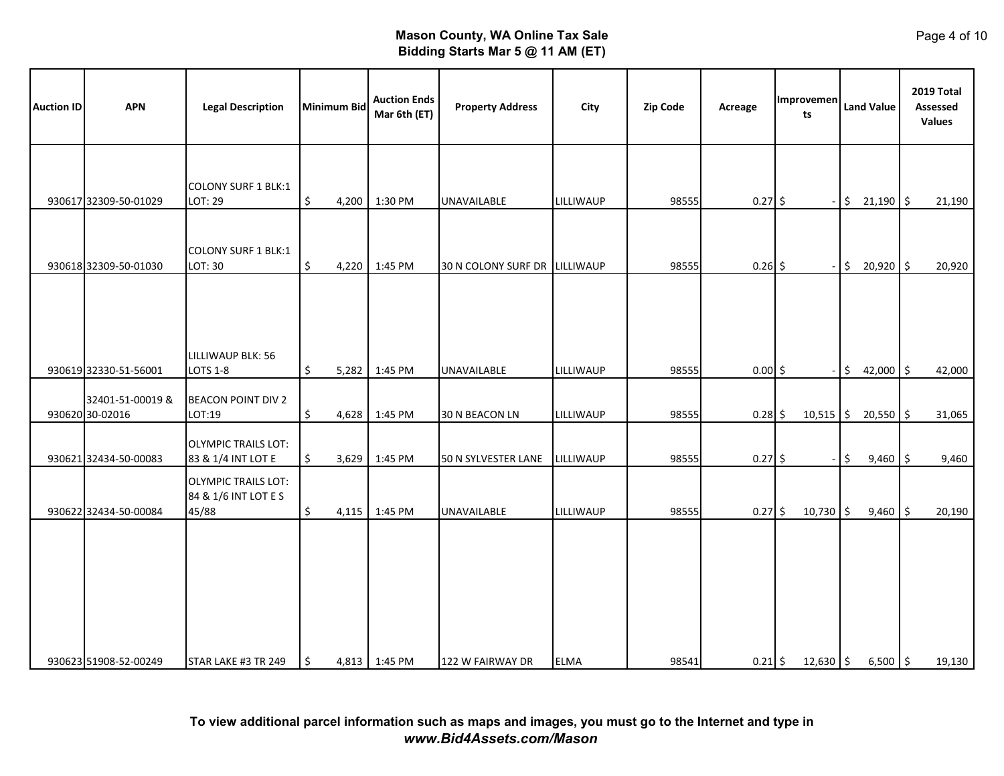| <b>Auction ID</b> | <b>APN</b>                          | <b>Legal Description</b>                                    |                      | <b>Minimum Bid</b> | <b>Auction Ends</b><br>Mar 6th (ET) | <b>Property Address</b>       | City        | Zip Code | Acreage   | <b>Improvemen</b><br>ts | <b>Land Value</b> | 2019 Total<br>Assessed<br><b>Values</b> |
|-------------------|-------------------------------------|-------------------------------------------------------------|----------------------|--------------------|-------------------------------------|-------------------------------|-------------|----------|-----------|-------------------------|-------------------|-----------------------------------------|
|                   | 930617 32309-50-01029               | <b>COLONY SURF 1 BLK:1</b><br>LOT: 29                       | \$                   | 4,200              | 1:30 PM                             | UNAVAILABLE                   | LILLIWAUP   | 98555    | $0.27$ \$ |                         | \$<br>$21,190$ \$ | 21,190                                  |
|                   | 930618 32309-50-01030               | <b>COLONY SURF 1 BLK:1</b><br>LOT: 30                       | $\boldsymbol{\zeta}$ | 4,220              | 1:45 PM                             | 30 N COLONY SURF DR LILLIWAUP |             | 98555    | $0.26$ \$ |                         | \$<br>20,920 \$   | 20,920                                  |
|                   |                                     |                                                             |                      |                    |                                     |                               |             |          |           |                         |                   |                                         |
|                   | 930619 32330-51-56001               | LILLIWAUP BLK: 56<br><b>LOTS 1-8</b>                        | \$                   | 5,282              | 1:45 PM                             | <b>UNAVAILABLE</b>            | LILLIWAUP   | 98555    | $0.00$ \$ |                         | \$<br>42,000 \$   | 42,000                                  |
|                   | 32401-51-00019 &<br>930620 30-02016 | <b>BEACON POINT DIV 2</b><br>LOT:19                         | \$                   |                    | 4,628 1:45 PM                       | 30 N BEACON LN                | LILLIWAUP   | 98555    | $0.28$ \$ | $10,515$ \$             | $20,550$ \$       | 31,065                                  |
|                   | 930621 32434-50-00083               | <b>OLYMPIC TRAILS LOT:</b><br>83 & 1/4 INT LOT E            | \$                   | 3,629              | 1:45 PM                             | 50 N SYLVESTER LANE           | LILLIWAUP   | 98555    | $0.27$ \$ |                         | \$<br>$9,460$ \$  | 9,460                                   |
|                   | 930622 32434-50-00084               | <b>OLYMPIC TRAILS LOT:</b><br>84 & 1/6 INT LOT E S<br>45/88 | \$                   | 4,115              | 1:45 PM                             | <b>UNAVAILABLE</b>            | LILLIWAUP   | 98555    | $0.27$ \$ | $10,730$ \$             | $9,460$ \$        | 20,190                                  |
|                   |                                     |                                                             |                      |                    |                                     |                               |             |          |           |                         |                   |                                         |
|                   |                                     |                                                             |                      |                    |                                     |                               |             |          |           |                         |                   |                                         |
|                   | 930623 51908-52-00249               | STAR LAKE #3 TR 249                                         | ۱\$                  |                    | 4,813 1:45 PM                       | 122 W FAIRWAY DR              | <b>ELMA</b> | 98541    | $0.21$ \$ | $12,630$ \$             | $6,500$ \$        | 19,130                                  |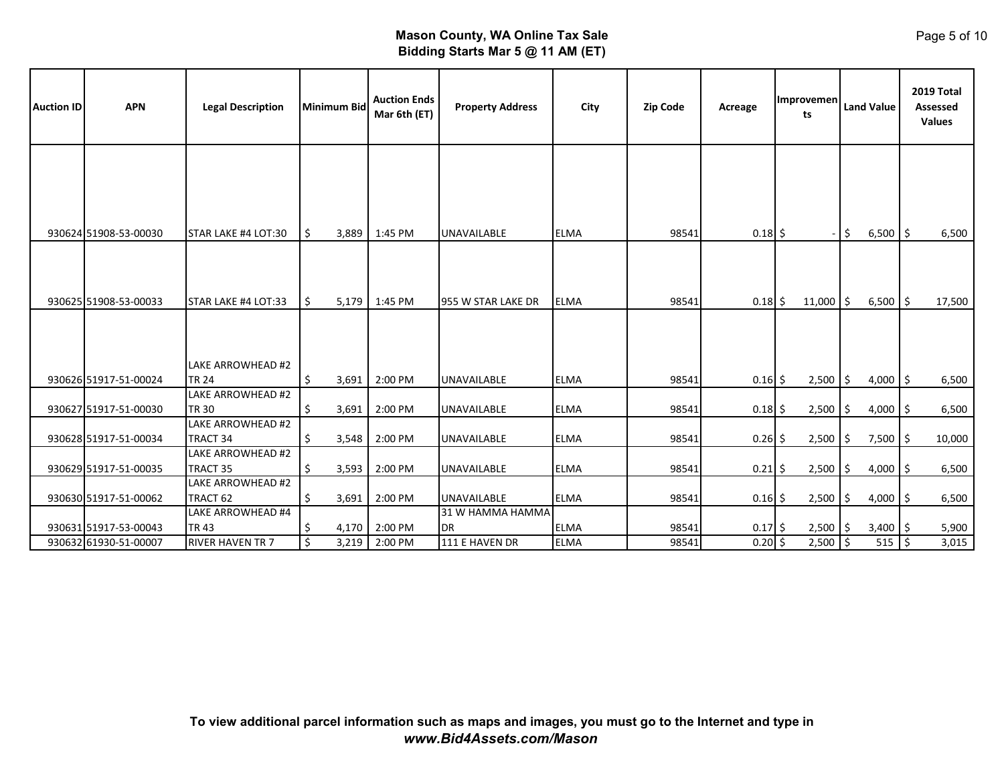| <b>Auction ID</b> | <b>APN</b>            | <b>Legal Description</b>          | Minimum Bid | <b>Auction Ends</b><br>Mar 6th (ET) | <b>Property Address</b> | City        | <b>Zip Code</b> | Acreage   | <b>Improvemen</b><br>ts |             |                     | <b>Land Value</b> |  | 2019 Total<br>Assessed<br><b>Values</b> |
|-------------------|-----------------------|-----------------------------------|-------------|-------------------------------------|-------------------------|-------------|-----------------|-----------|-------------------------|-------------|---------------------|-------------------|--|-----------------------------------------|
|                   |                       |                                   |             |                                     |                         |             |                 |           |                         |             |                     |                   |  |                                         |
|                   | 930624 51908-53-00030 | STAR LAKE #4 LOT:30               | \$<br>3,889 | 1:45 PM                             | <b>UNAVAILABLE</b>      | <b>ELMA</b> | 98541           | $0.18$ \$ |                         |             | $\ddot{\mathsf{S}}$ | $6,500$ \$        |  | 6,500                                   |
|                   | 930625 51908-53-00033 | STAR LAKE #4 LOT:33               | \$<br>5,179 | 1:45 PM                             | 955 W STAR LAKE DR      | <b>ELMA</b> | 98541           | $0.18$ \$ |                         | $11,000$ \$ |                     | $6,500$ \$        |  | 17,500                                  |
|                   |                       | LAKE ARROWHEAD #2                 |             |                                     |                         |             |                 |           |                         |             |                     |                   |  |                                         |
|                   | 930626 51917-51-00024 | <b>TR 24</b>                      | \$<br>3,691 | 2:00 PM                             | <b>UNAVAILABLE</b>      | <b>ELMA</b> | 98541           | $0.16$ \$ |                         | 2,500       | l\$                 | $4,000$ \$        |  | 6,500                                   |
|                   | 930627 51917-51-00030 | LAKE ARROWHEAD #2<br><b>TR 30</b> | \$<br>3,691 | 2:00 PM                             | <b>UNAVAILABLE</b>      | <b>ELMA</b> | 98541           | $0.18$ \$ |                         | 2,500       | \$                  | $4,000$ \$        |  | 6,500                                   |
|                   |                       | LAKE ARROWHEAD #2                 |             |                                     |                         |             |                 |           |                         |             |                     |                   |  |                                         |
|                   | 930628 51917-51-00034 | TRACT 34                          | \$<br>3,548 | 2:00 PM                             | <b>UNAVAILABLE</b>      | <b>ELMA</b> | 98541           | $0.26$ \$ |                         | 2,500       | l\$                 | $7,500$ \$        |  | 10,000                                  |
|                   | 930629 51917-51-00035 | LAKE ARROWHEAD #2<br>TRACT 35     | \$<br>3,593 | 2:00 PM                             | <b>UNAVAILABLE</b>      | <b>ELMA</b> | 98541           | $0.21$ \$ |                         | 2,500       | \$                  | $4,000$ \$        |  | 6,500                                   |
|                   | 930630 51917-51-00062 | LAKE ARROWHEAD #2<br>TRACT 62     | \$<br>3,691 | 2:00 PM                             | <b>UNAVAILABLE</b>      | <b>ELMA</b> | 98541           | $0.16$ \$ |                         | 2,500       | l\$                 | $4,000$ \$        |  | 6,500                                   |
|                   |                       | <b>LAKE ARROWHEAD #4</b>          |             |                                     | 31 W HAMMA HAMMA        |             |                 |           |                         |             |                     |                   |  |                                         |
|                   | 930631 51917-53-00043 | <b>TR43</b>                       | \$<br>4,170 | 2:00 PM                             | IDR.                    | <b>ELMA</b> | 98541           | $0.17$ \$ |                         | $2,500$ \$  |                     | $3,400$ \$        |  | 5,900                                   |
|                   | 930632 61930-51-00007 | RIVER HAVEN TR 7                  | \$<br>3,219 | 2:00 PM                             | 111 E HAVEN DR          | <b>ELMA</b> | 98541           | $0.20$ \$ |                         | 2,500       | S,                  | $515$ \$          |  | 3,015                                   |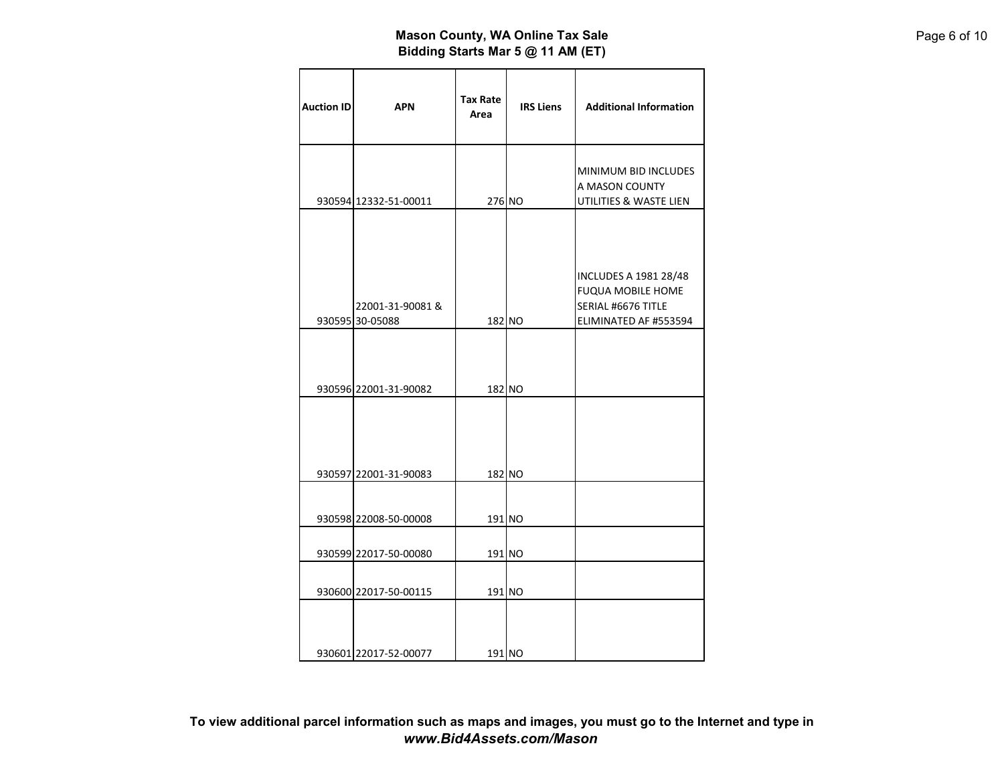| <b>Auction ID</b> | <b>APN</b>                          | <b>Tax Rate</b><br>Area | <b>IRS Liens</b> | <b>Additional Information</b>                                                                           |
|-------------------|-------------------------------------|-------------------------|------------------|---------------------------------------------------------------------------------------------------------|
|                   | 930594 12332-51-00011               | 276 NO                  |                  | MINIMUM BID INCLUDES<br>A MASON COUNTY<br>UTILITIES & WASTE LIEN                                        |
|                   | 22001-31-90081 &<br>930595 30-05088 | 182 NO                  |                  | <b>INCLUDES A 1981 28/48</b><br><b>FUQUA MOBILE HOME</b><br>SERIAL #6676 TITLE<br>ELIMINATED AF #553594 |
|                   | 930596 22001-31-90082               | 182 NO                  |                  |                                                                                                         |
|                   | 930597 22001-31-90083               | 182 NO                  |                  |                                                                                                         |
|                   | 930598 22008-50-00008               | 191 NO                  |                  |                                                                                                         |
|                   | 930599 22017-50-00080               | 191 NO                  |                  |                                                                                                         |
|                   | 930600 22017-50-00115               | 191 NO                  |                  |                                                                                                         |
|                   | 930601 22017-52-00077               | 191 NO                  |                  |                                                                                                         |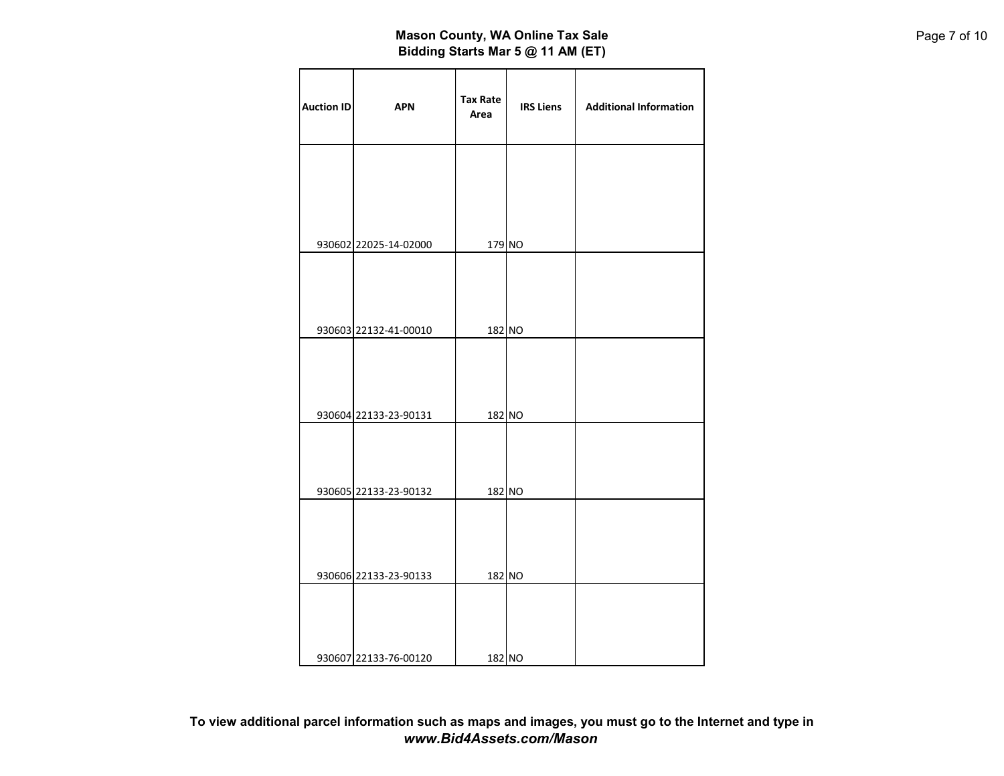| <b>Auction ID</b> | <b>APN</b>            | Tax Rate<br>Area | <b>IRS Liens</b> | <b>Additional Information</b> |
|-------------------|-----------------------|------------------|------------------|-------------------------------|
|                   |                       |                  |                  |                               |
|                   | 930602 22025-14-02000 | 179 NO           |                  |                               |
|                   |                       |                  |                  |                               |
|                   | 930603 22132-41-00010 | 182 NO           |                  |                               |
|                   | 930604 22133-23-90131 | 182 NO           |                  |                               |
|                   | 930605 22133-23-90132 | 182 NO           |                  |                               |
|                   |                       |                  |                  |                               |
|                   | 930606 22133-23-90133 | 182 NO           |                  |                               |
|                   | 930607 22133-76-00120 | 182 NO           |                  |                               |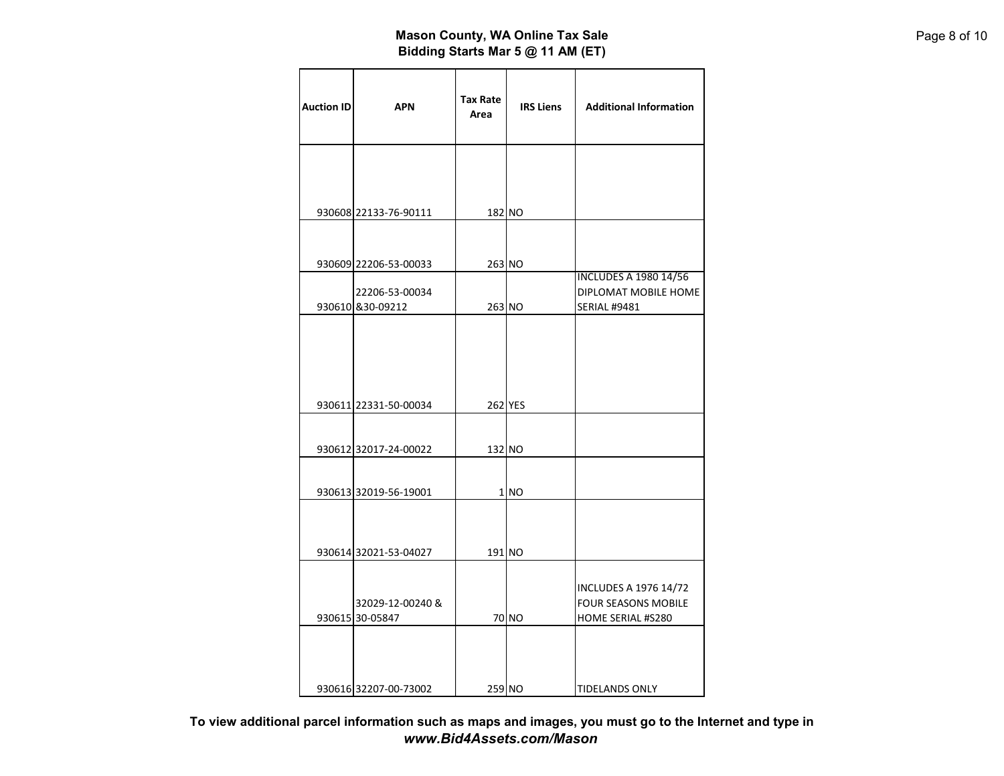| <b>Auction ID</b> | <b>APN</b>                          | Tax Rate<br>Area | <b>IRS Liens</b> | <b>Additional Information</b>                                                   |
|-------------------|-------------------------------------|------------------|------------------|---------------------------------------------------------------------------------|
|                   | 930608 22133-76-90111               | 182 NO           |                  |                                                                                 |
|                   | 930609 22206-53-00033               | 263 NO           |                  |                                                                                 |
|                   | 22206-53-00034<br>930610 & 30-09212 | 263 NO           |                  | <b>INCLUDES A 1980 14/56</b><br>DIPLOMAT MOBILE HOME<br><b>SERIAL #9481</b>     |
|                   |                                     |                  |                  |                                                                                 |
|                   | 930611 22331-50-00034               |                  | 262 YES          |                                                                                 |
|                   | 930612 32017-24-00022               | 132 NO           |                  |                                                                                 |
|                   | 930613 32019-56-19001               |                  | 1 NO             |                                                                                 |
|                   | 930614 32021-53-04027               | 191 NO           |                  |                                                                                 |
|                   | 32029-12-00240 &<br>930615 30-05847 |                  | 70 NO            | <b>INCLUDES A 1976 14/72</b><br><b>FOUR SEASONS MOBILE</b><br>HOME SERIAL #S280 |
|                   | 930616 32207-00-73002               | 259 NO           |                  | <b>TIDELANDS ONLY</b>                                                           |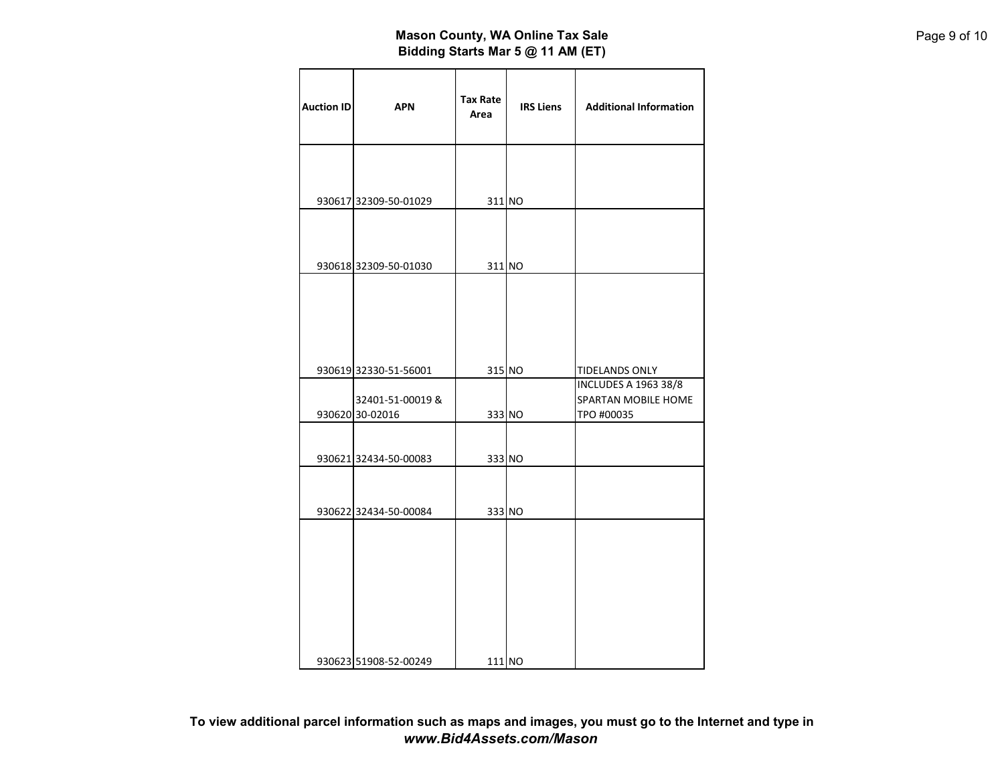| <b>Auction ID</b> | <b>APN</b>            | <b>Tax Rate</b><br>Area | <b>IRS Liens</b> | <b>Additional Information</b>                      |
|-------------------|-----------------------|-------------------------|------------------|----------------------------------------------------|
|                   |                       |                         |                  |                                                    |
|                   | 930617 32309-50-01029 | 311 NO                  |                  |                                                    |
|                   |                       |                         |                  |                                                    |
|                   | 930618 32309-50-01030 | 311 NO                  |                  |                                                    |
|                   |                       |                         |                  |                                                    |
|                   |                       |                         |                  |                                                    |
|                   |                       |                         |                  |                                                    |
|                   | 930619 32330-51-56001 |                         | 315 NO           | <b>TIDELANDS ONLY</b>                              |
|                   | 32401-51-00019 &      |                         |                  | <b>INCLUDES A 1963 38/8</b><br>SPARTAN MOBILE HOME |
|                   | 930620 30-02016       |                         | 333 NO           | TPO #00035                                         |
|                   |                       |                         |                  |                                                    |
|                   | 930621 32434-50-00083 | 333 NO                  |                  |                                                    |
|                   |                       |                         |                  |                                                    |
|                   | 930622 32434-50-00084 | 333 NO                  |                  |                                                    |
|                   |                       |                         |                  |                                                    |
|                   |                       |                         |                  |                                                    |
|                   |                       |                         |                  |                                                    |
|                   |                       |                         |                  |                                                    |
|                   |                       |                         |                  |                                                    |
|                   |                       |                         |                  |                                                    |
|                   | 930623 51908-52-00249 | 111 NO                  |                  |                                                    |